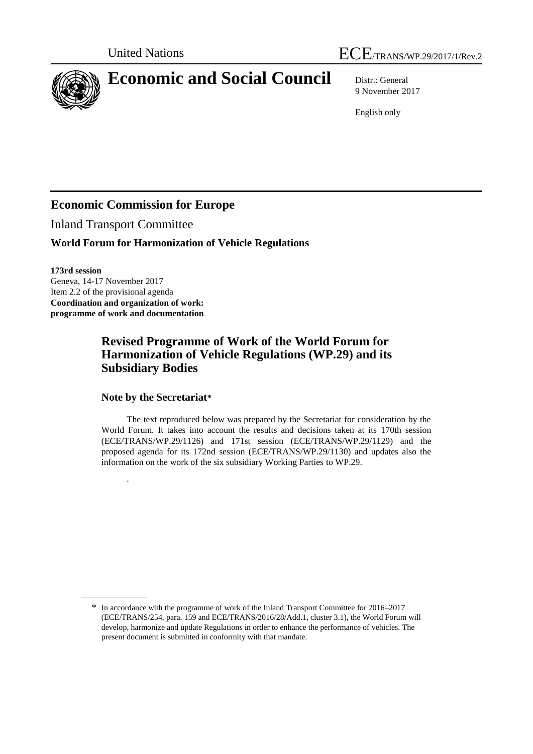



# **Economic and Social Council** Distr.: General

9 November 2017

English only

# **Economic Commission for Europe**

Inland Transport Committee

## **World Forum for Harmonization of Vehicle Regulations**

**173rd session**

Geneva, 14-17 November 2017 Item 2.2 of the provisional agenda **Coordination and organization of work: programme of work and documentation**

.

# **Revised Programme of Work of the World Forum for Harmonization of Vehicle Regulations (WP.29) and its Subsidiary Bodies**

#### **Note by the Secretariat\***

The text reproduced below was prepared by the Secretariat for consideration by the World Forum. It takes into account the results and decisions taken at its 170th session (ECE/TRANS/WP.29/1126) and 171st session (ECE/TRANS/WP.29/1129) and the proposed agenda for its 172nd session (ECE/TRANS/WP.29/1130) and updates also the information on the work of the six subsidiary Working Parties to WP.29.

<sup>\*</sup> In accordance with the programme of work of the Inland Transport Committee for 2016–2017 (ECE/TRANS/254, para. 159 and ECE/TRANS/2016/28/Add.1, cluster 3.1), the World Forum will develop, harmonize and update Regulations in order to enhance the performance of vehicles. The present document is submitted in conformity with that mandate.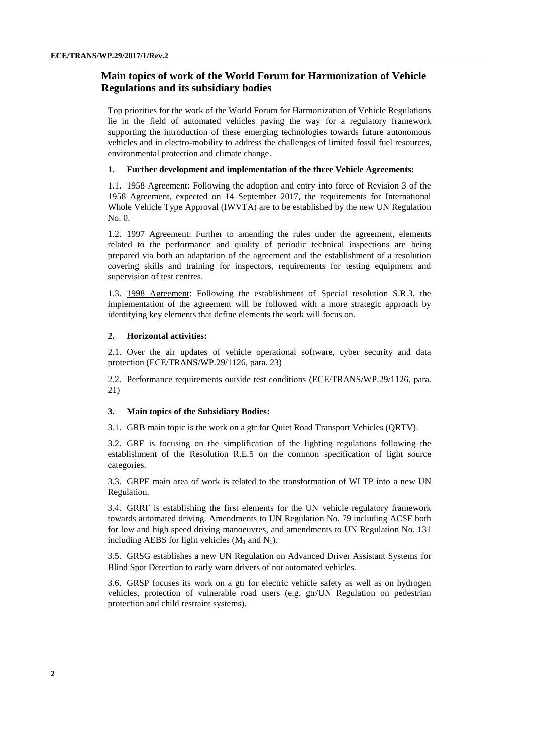## **Main topics of work of the World Forum for Harmonization of Vehicle Regulations and its subsidiary bodies**

Top priorities for the work of the World Forum for Harmonization of Vehicle Regulations lie in the field of automated vehicles paving the way for a regulatory framework supporting the introduction of these emerging technologies towards future autonomous vehicles and in electro-mobility to address the challenges of limited fossil fuel resources, environmental protection and climate change.

#### **1. Further development and implementation of the three Vehicle Agreements:**

1.1. 1958 Agreement: Following the adoption and entry into force of Revision 3 of the 1958 Agreement, expected on 14 September 2017, the requirements for International Whole Vehicle Type Approval (IWVTA) are to be established by the new UN Regulation No. 0.

1.2. 1997 Agreement: Further to amending the rules under the agreement, elements related to the performance and quality of periodic technical inspections are being prepared via both an adaptation of the agreement and the establishment of a resolution covering skills and training for inspectors, requirements for testing equipment and supervision of test centres.

1.3. 1998 Agreement: Following the establishment of Special resolution S.R.3, the implementation of the agreement will be followed with a more strategic approach by identifying key elements that define elements the work will focus on.

#### **2. Horizontal activities:**

2.1. Over the air updates of vehicle operational software, cyber security and data protection (ECE/TRANS/WP.29/1126, para. 23)

2.2. Performance requirements outside test conditions (ECE/TRANS/WP.29/1126, para. 21)

#### **3. Main topics of the Subsidiary Bodies:**

3.1. GRB main topic is the work on a gtr for Quiet Road Transport Vehicles (QRTV).

3.2. GRE is focusing on the simplification of the lighting regulations following the establishment of the Resolution R.E.5 on the common specification of light source categories.

3.3. GRPE main area of work is related to the transformation of WLTP into a new UN Regulation.

3.4. GRRF is establishing the first elements for the UN vehicle regulatory framework towards automated driving. Amendments to UN Regulation No. 79 including ACSF both for low and high speed driving manoeuvres, and amendments to UN Regulation No. 131 including AEBS for light vehicles  $(M_1 \text{ and } N_1)$ .

3.5. GRSG establishes a new UN Regulation on Advanced Driver Assistant Systems for Blind Spot Detection to early warn drivers of not automated vehicles.

3.6. GRSP focuses its work on a gtr for electric vehicle safety as well as on hydrogen vehicles, protection of vulnerable road users (e.g. gtr/UN Regulation on pedestrian protection and child restraint systems).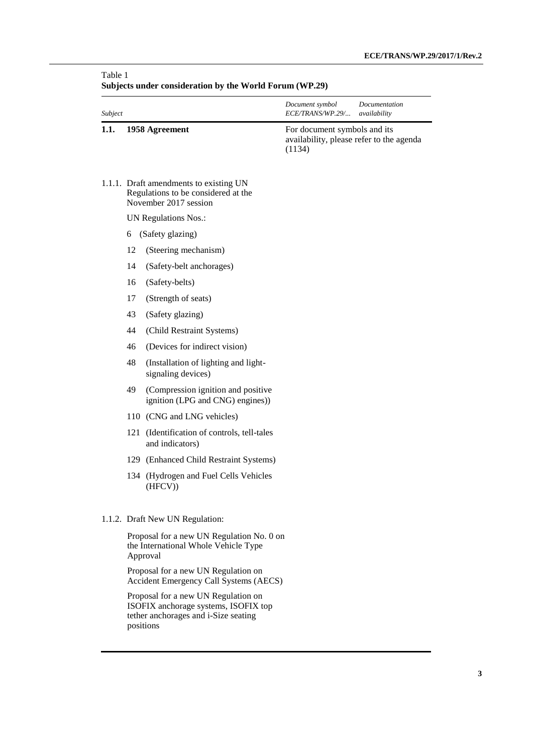| Subject |    |                                                                                                                                  | Document symbol<br>ECE/TRANS/WP.29/    | Documentation<br>availability            |
|---------|----|----------------------------------------------------------------------------------------------------------------------------------|----------------------------------------|------------------------------------------|
| 1.1.    |    | 1958 Agreement                                                                                                                   | For document symbols and its<br>(1134) | availability, please refer to the agenda |
|         |    | 1.1.1. Draft amendments to existing UN<br>Regulations to be considered at the<br>November 2017 session                           |                                        |                                          |
|         |    | UN Regulations Nos.:                                                                                                             |                                        |                                          |
|         | 6  | (Safety glazing)                                                                                                                 |                                        |                                          |
|         | 12 | (Steering mechanism)                                                                                                             |                                        |                                          |
|         | 14 | (Safety-belt anchorages)                                                                                                         |                                        |                                          |
|         | 16 | (Safety-belts)                                                                                                                   |                                        |                                          |
|         | 17 | (Strength of seats)                                                                                                              |                                        |                                          |
|         | 43 | (Safety glazing)                                                                                                                 |                                        |                                          |
|         | 44 | (Child Restraint Systems)                                                                                                        |                                        |                                          |
|         | 46 | (Devices for indirect vision)                                                                                                    |                                        |                                          |
|         | 48 | (Installation of lighting and light-<br>signaling devices)                                                                       |                                        |                                          |
|         | 49 | (Compression ignition and positive<br>ignition (LPG and CNG) engines))                                                           |                                        |                                          |
|         |    | 110 (CNG and LNG vehicles)                                                                                                       |                                        |                                          |
|         |    | 121 (Identification of controls, tell-tales<br>and indicators)                                                                   |                                        |                                          |
|         |    | 129 (Enhanced Child Restraint Systems)                                                                                           |                                        |                                          |
|         |    | 134 (Hydrogen and Fuel Cells Vehicles<br>(HFCV))                                                                                 |                                        |                                          |
|         |    | 1.1.2. Draft New UN Regulation:                                                                                                  |                                        |                                          |
|         |    | Proposal for a new UN Regulation No. 0 on<br>the International Whole Vehicle Type<br>Approval                                    |                                        |                                          |
|         |    | Proposal for a new UN Regulation on<br><b>Accident Emergency Call Systems (AECS)</b>                                             |                                        |                                          |
|         |    | Proposal for a new UN Regulation on<br>ISOFIX anchorage systems, ISOFIX top<br>tether anchorages and i-Size seating<br>positions |                                        |                                          |

## **Subjects under consideration by the World Forum (WP.29)**

Table 1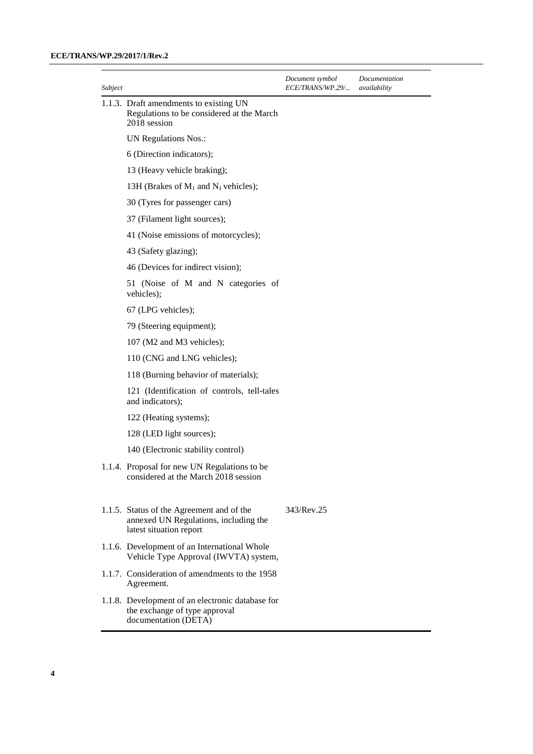#### **ECE/TRANS/WP.29/2017/1/Rev.2**

| Subject |                                                                                                               | Document symbol<br>ECE/TRANS/WP.29/ | Documentation<br>availability |
|---------|---------------------------------------------------------------------------------------------------------------|-------------------------------------|-------------------------------|
|         | 1.1.3. Draft amendments to existing UN<br>Regulations to be considered at the March<br>2018 session           |                                     |                               |
|         | <b>UN Regulations Nos.:</b>                                                                                   |                                     |                               |
|         | 6 (Direction indicators);                                                                                     |                                     |                               |
|         | 13 (Heavy vehicle braking);                                                                                   |                                     |                               |
|         | 13H (Brakes of $M_1$ and $N_1$ vehicles);                                                                     |                                     |                               |
|         | 30 (Tyres for passenger cars)                                                                                 |                                     |                               |
|         | 37 (Filament light sources);                                                                                  |                                     |                               |
|         | 41 (Noise emissions of motorcycles);                                                                          |                                     |                               |
|         | 43 (Safety glazing);                                                                                          |                                     |                               |
|         | 46 (Devices for indirect vision);                                                                             |                                     |                               |
|         | 51 (Noise of M and N categories of<br>vehicles);                                                              |                                     |                               |
|         | 67 (LPG vehicles);                                                                                            |                                     |                               |
|         | 79 (Steering equipment);                                                                                      |                                     |                               |
|         | 107 (M2 and M3 vehicles);                                                                                     |                                     |                               |
|         | 110 (CNG and LNG vehicles);                                                                                   |                                     |                               |
|         | 118 (Burning behavior of materials);                                                                          |                                     |                               |
|         | 121 (Identification of controls, tell-tales<br>and indicators);                                               |                                     |                               |
|         | 122 (Heating systems);                                                                                        |                                     |                               |
|         | 128 (LED light sources);                                                                                      |                                     |                               |
|         | 140 (Electronic stability control)                                                                            |                                     |                               |
|         | 1.1.4. Proposal for new UN Regulations to be<br>considered at the March 2018 session                          |                                     |                               |
|         | 1.1.5. Status of the Agreement and of the<br>annexed UN Regulations, including the<br>latest situation report | 343/Rev.25                          |                               |
|         | 1.1.6. Development of an International Whole<br>Vehicle Type Approval (IWVTA) system,                         |                                     |                               |
|         | 1.1.7. Consideration of amendments to the 1958<br>Agreement.                                                  |                                     |                               |
|         | 1.1.8. Development of an electronic database for<br>the exchange of type approval<br>documentation (DETA)     |                                     |                               |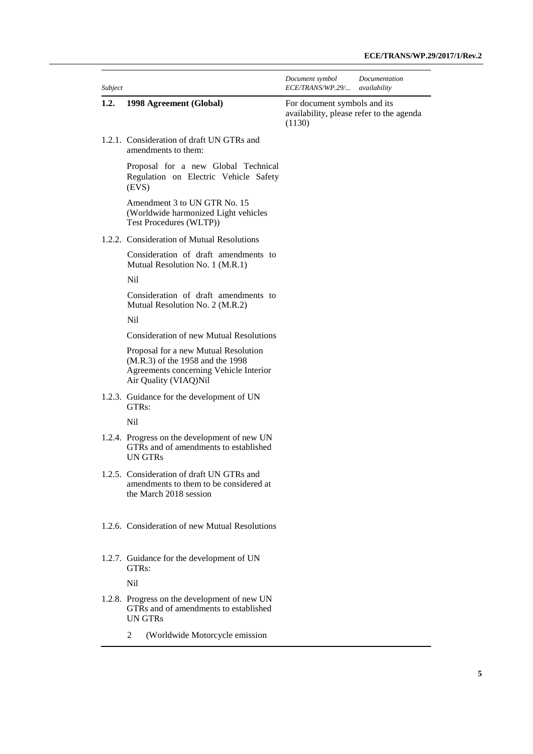| Subject |                                                                                                                                             | Document symbol<br>ECE/TRANS/WP.29/ availability | Documentation                            |
|---------|---------------------------------------------------------------------------------------------------------------------------------------------|--------------------------------------------------|------------------------------------------|
| 1.2.    | 1998 Agreement (Global)                                                                                                                     | For document symbols and its<br>(1130)           | availability, please refer to the agenda |
|         | 1.2.1. Consideration of draft UN GTRs and<br>amendments to them:                                                                            |                                                  |                                          |
|         | Proposal for a new Global Technical<br>Regulation on Electric Vehicle Safety<br>(EVS)                                                       |                                                  |                                          |
|         | Amendment 3 to UN GTR No. 15<br>(Worldwide harmonized Light vehicles<br>Test Procedures (WLTP))                                             |                                                  |                                          |
|         | 1.2.2. Consideration of Mutual Resolutions                                                                                                  |                                                  |                                          |
|         | Consideration of draft amendments to<br>Mutual Resolution No. 1 (M.R.1)                                                                     |                                                  |                                          |
|         | Nil                                                                                                                                         |                                                  |                                          |
|         | Consideration of draft amendments to<br>Mutual Resolution No. 2 (M.R.2)                                                                     |                                                  |                                          |
|         | Nil                                                                                                                                         |                                                  |                                          |
|         | <b>Consideration of new Mutual Resolutions</b>                                                                                              |                                                  |                                          |
|         | Proposal for a new Mutual Resolution<br>(M.R.3) of the 1958 and the 1998<br>Agreements concerning Vehicle Interior<br>Air Quality (VIAQ)Nil |                                                  |                                          |
|         | 1.2.3. Guidance for the development of UN<br>GTR <sub>s</sub> :                                                                             |                                                  |                                          |
|         | Nil                                                                                                                                         |                                                  |                                          |
|         | 1.2.4. Progress on the development of new UN<br>GTRs and of amendments to established<br><b>UN GTRs</b>                                     |                                                  |                                          |
|         | 1.2.5. Consideration of draft UN GTRs and<br>amendments to them to be considered at<br>the March 2018 session                               |                                                  |                                          |
|         | 1.2.6. Consideration of new Mutual Resolutions                                                                                              |                                                  |                                          |
|         | 1.2.7. Guidance for the development of UN<br>GTR <sub>s:</sub>                                                                              |                                                  |                                          |
|         | Nil                                                                                                                                         |                                                  |                                          |
|         | 1.2.8. Progress on the development of new UN<br>GTRs and of amendments to established<br>UN GTRs                                            |                                                  |                                          |
|         | (Worldwide Motorcycle emission<br>2                                                                                                         |                                                  |                                          |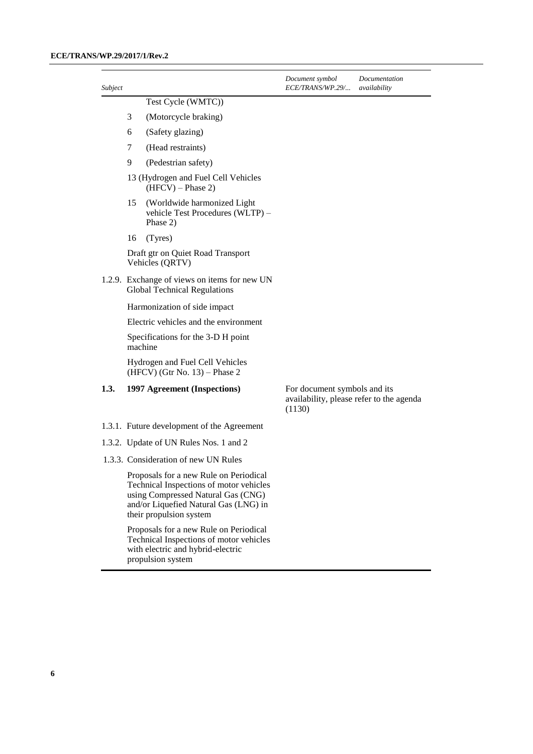#### **ECE/TRANS/WP.29/2017/1/Rev.2**

| Subject |    |                                                                                                                                                                                             | Document symbol<br><i>ECE/TRANS/WP.29/</i>                                         | Documentation<br>availability |
|---------|----|---------------------------------------------------------------------------------------------------------------------------------------------------------------------------------------------|------------------------------------------------------------------------------------|-------------------------------|
|         |    | Test Cycle (WMTC))                                                                                                                                                                          |                                                                                    |                               |
|         | 3  | (Motorcycle braking)                                                                                                                                                                        |                                                                                    |                               |
|         | 6  | (Safety glazing)                                                                                                                                                                            |                                                                                    |                               |
|         | 7  | (Head restraints)                                                                                                                                                                           |                                                                                    |                               |
|         | 9  | (Pedestrian safety)                                                                                                                                                                         |                                                                                    |                               |
|         |    | 13 (Hydrogen and Fuel Cell Vehicles<br>$(HFCV)$ – Phase 2)                                                                                                                                  |                                                                                    |                               |
|         | 15 | (Worldwide harmonized Light<br>vehicle Test Procedures (WLTP) -<br>Phase 2)                                                                                                                 |                                                                                    |                               |
|         | 16 | (Tyres)                                                                                                                                                                                     |                                                                                    |                               |
|         |    | Draft gtr on Quiet Road Transport<br>Vehicles (QRTV)                                                                                                                                        |                                                                                    |                               |
|         |    | 1.2.9. Exchange of views on items for new UN<br><b>Global Technical Regulations</b>                                                                                                         |                                                                                    |                               |
|         |    | Harmonization of side impact                                                                                                                                                                |                                                                                    |                               |
|         |    | Electric vehicles and the environment                                                                                                                                                       |                                                                                    |                               |
|         |    | Specifications for the 3-D H point<br>machine                                                                                                                                               |                                                                                    |                               |
|         |    | Hydrogen and Fuel Cell Vehicles<br>$(HFCV)$ (Gtr No. 13) – Phase 2                                                                                                                          |                                                                                    |                               |
| 1.3.    |    | 1997 Agreement (Inspections)                                                                                                                                                                | For document symbols and its<br>availability, please refer to the agenda<br>(1130) |                               |
|         |    | 1.3.1. Future development of the Agreement                                                                                                                                                  |                                                                                    |                               |
|         |    | 1.3.2. Update of UN Rules Nos. 1 and 2                                                                                                                                                      |                                                                                    |                               |
|         |    | 1.3.3. Consideration of new UN Rules                                                                                                                                                        |                                                                                    |                               |
|         |    | Proposals for a new Rule on Periodical<br>Technical Inspections of motor vehicles<br>using Compressed Natural Gas (CNG)<br>and/or Liquefied Natural Gas (LNG) in<br>their propulsion system |                                                                                    |                               |
|         |    | Proposals for a new Rule on Periodical<br>Technical Inspections of motor vehicles                                                                                                           |                                                                                    |                               |

with electric and hybrid-electric

propulsion system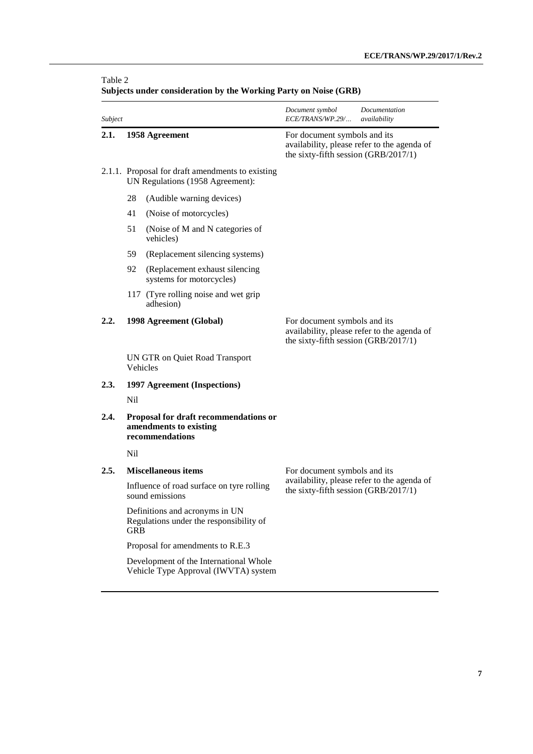| Subject |                                                                                         | Document symbol<br>Documentation<br>ECE/TRANS/WP.29/<br>availability                                                |  |
|---------|-----------------------------------------------------------------------------------------|---------------------------------------------------------------------------------------------------------------------|--|
| 2.1.    | 1958 Agreement                                                                          | For document symbols and its<br>availability, please refer to the agenda of<br>the sixty-fifth session (GRB/2017/1) |  |
|         | 2.1.1. Proposal for draft amendments to existing<br>UN Regulations (1958 Agreement):    |                                                                                                                     |  |
|         | 28<br>(Audible warning devices)                                                         |                                                                                                                     |  |
|         | 41<br>(Noise of motorcycles)                                                            |                                                                                                                     |  |
|         | 51<br>(Noise of M and N categories of<br>vehicles)                                      |                                                                                                                     |  |
|         | 59<br>(Replacement silencing systems)                                                   |                                                                                                                     |  |
|         | 92<br>(Replacement exhaust silencing<br>systems for motorcycles)                        |                                                                                                                     |  |
|         | 117 (Tyre rolling noise and wet grip<br>adhesion)                                       |                                                                                                                     |  |
| 2.2.    | 1998 Agreement (Global)                                                                 | For document symbols and its<br>availability, please refer to the agenda of<br>the sixty-fifth session (GRB/2017/1) |  |
|         | UN GTR on Quiet Road Transport<br>Vehicles                                              |                                                                                                                     |  |
| 2.3.    | 1997 Agreement (Inspections)                                                            |                                                                                                                     |  |
|         | Nil                                                                                     |                                                                                                                     |  |
| 2.4.    | Proposal for draft recommendations or<br>amendments to existing<br>recommendations      |                                                                                                                     |  |
|         | N <sub>il</sub>                                                                         |                                                                                                                     |  |
| 2.5.    | <b>Miscellaneous items</b>                                                              | For document symbols and its                                                                                        |  |
|         | Influence of road surface on tyre rolling<br>sound emissions                            | availability, please refer to the agenda of<br>the sixty-fifth session (GRB/2017/1)                                 |  |
|         | Definitions and acronyms in UN<br>Regulations under the responsibility of<br><b>GRB</b> |                                                                                                                     |  |
|         | Proposal for amendments to R.E.3                                                        |                                                                                                                     |  |
|         | Development of the International Whole<br>Vehicle Type Approval (IWVTA) system          |                                                                                                                     |  |

## **Subjects under consideration by the Working Party on Noise (GRB)**

Table 2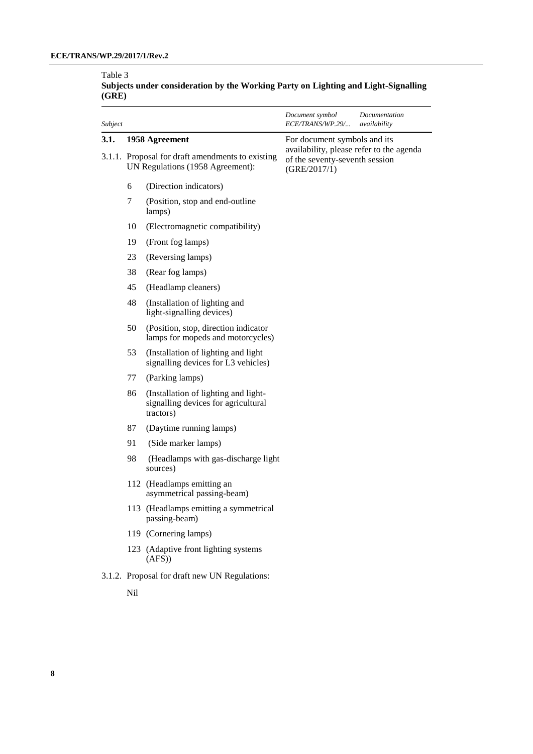#### Table 3 **Subjects under consideration by the Working Party on Lighting and Light-Signalling (GRE)**

| Subject |                                                                                      |                                                                                          | Document symbol<br>ECE/TRANS/WP.29/                                                        | Documentation<br>availability |
|---------|--------------------------------------------------------------------------------------|------------------------------------------------------------------------------------------|--------------------------------------------------------------------------------------------|-------------------------------|
| 3.1.    | 1958 Agreement                                                                       |                                                                                          | For document symbols and its                                                               |                               |
|         | 3.1.1. Proposal for draft amendments to existing<br>UN Regulations (1958 Agreement): |                                                                                          | availability, please refer to the agenda<br>of the seventy-seventh session<br>(GRE/2017/1) |                               |
|         | 6                                                                                    | (Direction indicators)                                                                   |                                                                                            |                               |
|         | 7                                                                                    | (Position, stop and end-outline<br>lamps)                                                |                                                                                            |                               |
|         | 10                                                                                   | (Electromagnetic compatibility)                                                          |                                                                                            |                               |
|         | 19                                                                                   | (Front fog lamps)                                                                        |                                                                                            |                               |
|         | 23                                                                                   | (Reversing lamps)                                                                        |                                                                                            |                               |
|         | 38                                                                                   | (Rear fog lamps)                                                                         |                                                                                            |                               |
|         | 45                                                                                   | (Headlamp cleaners)                                                                      |                                                                                            |                               |
|         | 48                                                                                   | (Installation of lighting and<br>light-signalling devices)                               |                                                                                            |                               |
|         | 50                                                                                   | (Position, stop, direction indicator<br>lamps for mopeds and motorcycles)                |                                                                                            |                               |
|         | 53                                                                                   | (Installation of lighting and light<br>signalling devices for L3 vehicles)               |                                                                                            |                               |
|         | 77                                                                                   | (Parking lamps)                                                                          |                                                                                            |                               |
|         | 86                                                                                   | (Installation of lighting and light-<br>signalling devices for agricultural<br>tractors) |                                                                                            |                               |
|         | 87                                                                                   | (Daytime running lamps)                                                                  |                                                                                            |                               |
|         | 91                                                                                   | (Side marker lamps)                                                                      |                                                                                            |                               |
|         | 98                                                                                   | (Headlamps with gas-discharge light<br>sources)                                          |                                                                                            |                               |
|         |                                                                                      | 112 (Headlamps emitting an<br>asymmetrical passing-beam)                                 |                                                                                            |                               |
|         |                                                                                      | 113 (Headlamps emitting a symmetrical<br>passing-beam)                                   |                                                                                            |                               |
|         |                                                                                      | 119 (Cornering lamps)                                                                    |                                                                                            |                               |
|         |                                                                                      | 123 (Adaptive front lighting systems<br>(AFS)                                            |                                                                                            |                               |
|         |                                                                                      | 3.1.2. Proposal for draft new UN Regulations:                                            |                                                                                            |                               |
|         | Nil                                                                                  |                                                                                          |                                                                                            |                               |
|         |                                                                                      |                                                                                          |                                                                                            |                               |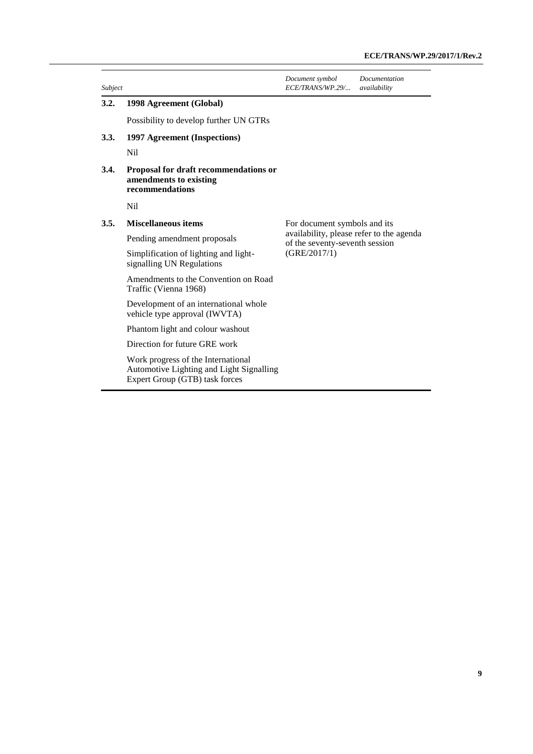| Subject |                                                                                                                  | Document symbol<br>ECE/TRANS/WP.29/                                        | Documentation<br>availability |
|---------|------------------------------------------------------------------------------------------------------------------|----------------------------------------------------------------------------|-------------------------------|
| 3.2.    | 1998 Agreement (Global)                                                                                          |                                                                            |                               |
|         | Possibility to develop further UN GTRs                                                                           |                                                                            |                               |
| 3.3.    | 1997 Agreement (Inspections)                                                                                     |                                                                            |                               |
|         | Nil                                                                                                              |                                                                            |                               |
| 3.4.    | Proposal for draft recommendations or<br>amendments to existing<br>recommendations                               |                                                                            |                               |
|         | Nil                                                                                                              |                                                                            |                               |
| 3.5.    | <b>Miscellaneous items</b>                                                                                       | For document symbols and its                                               |                               |
|         | Pending amendment proposals                                                                                      | availability, please refer to the agenda<br>of the seventy-seventh session |                               |
|         | Simplification of lighting and light-<br>signalling UN Regulations                                               | (GRE/2017/1)                                                               |                               |
|         | Amendments to the Convention on Road<br>Traffic (Vienna 1968)                                                    |                                                                            |                               |
|         | Development of an international whole<br>vehicle type approval (IWVTA)                                           |                                                                            |                               |
|         | Phantom light and colour washout                                                                                 |                                                                            |                               |
|         | Direction for future GRE work                                                                                    |                                                                            |                               |
|         | Work progress of the International<br>Automotive Lighting and Light Signalling<br>Expert Group (GTB) task forces |                                                                            |                               |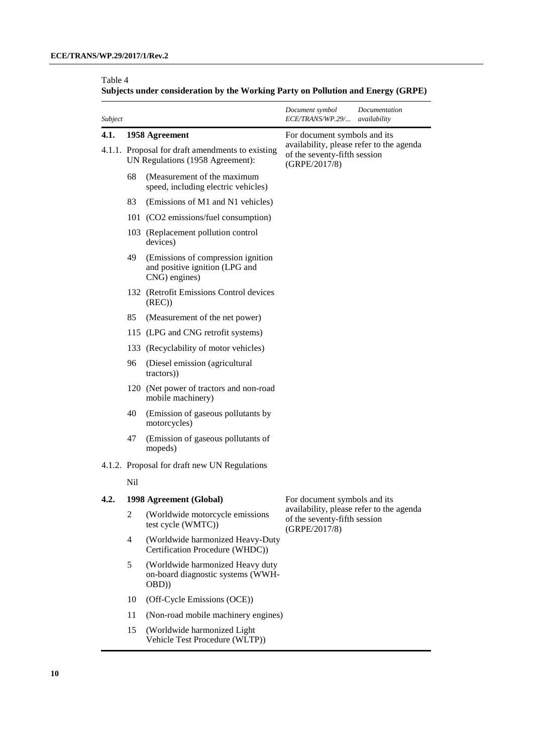## Table 4

| Subjects under consideration by the Working Party on Pollution and Energy (GRPE) |  |
|----------------------------------------------------------------------------------|--|
|----------------------------------------------------------------------------------|--|

| Subject |                                                                                      |                                                                                       | Document symbol<br>ECE/TRANS/WP.29/                                                       | Documentation<br>availability |
|---------|--------------------------------------------------------------------------------------|---------------------------------------------------------------------------------------|-------------------------------------------------------------------------------------------|-------------------------------|
| 4.1.    | 1958 Agreement                                                                       |                                                                                       | For document symbols and its                                                              |                               |
|         | 4.1.1. Proposal for draft amendments to existing<br>UN Regulations (1958 Agreement): |                                                                                       | availability, please refer to the agenda<br>of the seventy-fifth session<br>(GRPE/2017/8) |                               |
|         | 68                                                                                   | (Measurement of the maximum<br>speed, including electric vehicles)                    |                                                                                           |                               |
|         | 83                                                                                   | (Emissions of M1 and N1 vehicles)                                                     |                                                                                           |                               |
|         |                                                                                      | 101 (CO2 emissions/fuel consumption)                                                  |                                                                                           |                               |
|         |                                                                                      | 103 (Replacement pollution control<br>devices)                                        |                                                                                           |                               |
|         | 49                                                                                   | (Emissions of compression ignition<br>and positive ignition (LPG and<br>CNG) engines) |                                                                                           |                               |
|         |                                                                                      | 132 (Retrofit Emissions Control devices<br>(REC)                                      |                                                                                           |                               |
|         | 85                                                                                   | (Measurement of the net power)                                                        |                                                                                           |                               |
|         |                                                                                      | 115 (LPG and CNG retrofit systems)                                                    |                                                                                           |                               |
|         |                                                                                      | 133 (Recyclability of motor vehicles)                                                 |                                                                                           |                               |
|         | 96                                                                                   | (Diesel emission (agricultural<br>tractors))                                          |                                                                                           |                               |
|         |                                                                                      | 120 (Net power of tractors and non-road<br>mobile machinery)                          |                                                                                           |                               |
|         | 40                                                                                   | (Emission of gaseous pollutants by<br>motorcycles)                                    |                                                                                           |                               |
|         | 47                                                                                   | (Emission of gaseous pollutants of<br>mopeds)                                         |                                                                                           |                               |
|         |                                                                                      | 4.1.2. Proposal for draft new UN Regulations                                          |                                                                                           |                               |
|         | Nil                                                                                  |                                                                                       |                                                                                           |                               |
| 4.2.    | 1998 Agreement (Global)                                                              |                                                                                       | For document symbols and its                                                              |                               |
|         | 2                                                                                    | (Worldwide motorcycle emissions<br>test cycle (WMTC))                                 | availability, please refer to the agenda<br>of the seventy-fifth session<br>(GRPE/2017/8) |                               |
|         | 4                                                                                    | (Worldwide harmonized Heavy-Duty<br>Certification Procedure (WHDC))                   |                                                                                           |                               |
|         | 5                                                                                    | (Worldwide harmonized Heavy duty<br>on-board diagnostic systems (WWH-<br>(OBD)        |                                                                                           |                               |
|         | 10                                                                                   | (Off-Cycle Emissions (OCE))                                                           |                                                                                           |                               |
|         | 11                                                                                   | (Non-road mobile machinery engines)                                                   |                                                                                           |                               |
|         |                                                                                      |                                                                                       |                                                                                           |                               |

15 (Worldwide harmonized Light Vehicle Test Procedure (WLTP))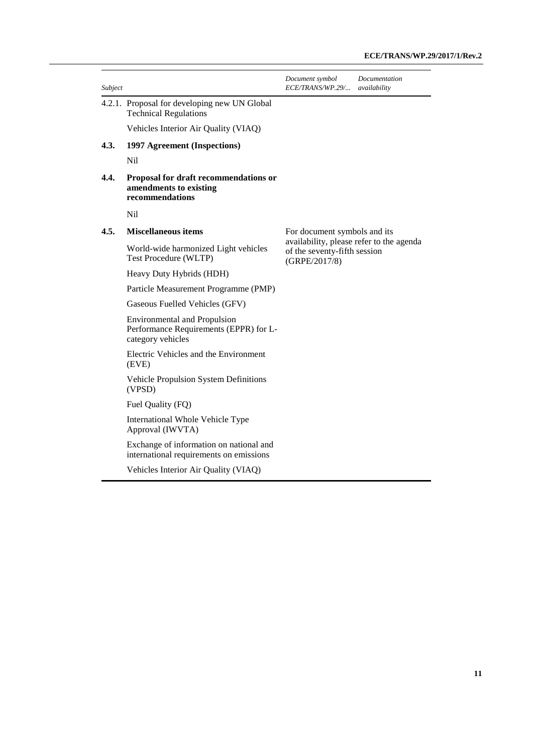| Subject |                                                                                                    | Document symbol<br>ECE/TRANS/WP.29/                                                       | Documentation<br>availability |
|---------|----------------------------------------------------------------------------------------------------|-------------------------------------------------------------------------------------------|-------------------------------|
|         | 4.2.1. Proposal for developing new UN Global<br><b>Technical Regulations</b>                       |                                                                                           |                               |
|         | Vehicles Interior Air Quality (VIAQ)                                                               |                                                                                           |                               |
| 4.3.    | 1997 Agreement (Inspections)                                                                       |                                                                                           |                               |
|         | N <sub>i</sub>                                                                                     |                                                                                           |                               |
| 4.4.    | Proposal for draft recommendations or<br>amendments to existing<br>recommendations                 |                                                                                           |                               |
|         | Nil                                                                                                |                                                                                           |                               |
| 4.5.    | <b>Miscellaneous items</b>                                                                         | For document symbols and its                                                              |                               |
|         | World-wide harmonized Light vehicles<br>Test Procedure (WLTP)                                      | availability, please refer to the agenda<br>of the seventy-fifth session<br>(GRPE/2017/8) |                               |
|         | Heavy Duty Hybrids (HDH)                                                                           |                                                                                           |                               |
|         | Particle Measurement Programme (PMP)                                                               |                                                                                           |                               |
|         | Gaseous Fuelled Vehicles (GFV)                                                                     |                                                                                           |                               |
|         | <b>Environmental and Propulsion</b><br>Performance Requirements (EPPR) for L-<br>category vehicles |                                                                                           |                               |
|         | Electric Vehicles and the Environment<br>(EVE)                                                     |                                                                                           |                               |
|         | <b>Vehicle Propulsion System Definitions</b><br>(VPSD)                                             |                                                                                           |                               |
|         | Fuel Quality (FQ)                                                                                  |                                                                                           |                               |
|         | International Whole Vehicle Type<br>Approval (IWVTA)                                               |                                                                                           |                               |
|         | Exchange of information on national and<br>international requirements on emissions                 |                                                                                           |                               |

Vehicles Interior Air Quality (VIAQ)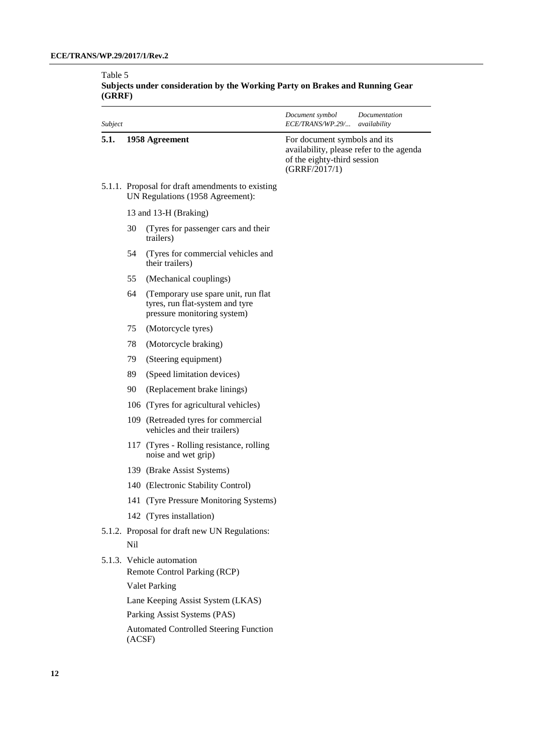#### Table 5 **Subjects under consideration by the Working Party on Brakes and Running Gear (GRRF)**

| Subject |                                                                                      |                                                                                                       | Document symbol<br><i>ECE/TRANS/WP.29/</i>                                                                               | Documentation<br>availability |
|---------|--------------------------------------------------------------------------------------|-------------------------------------------------------------------------------------------------------|--------------------------------------------------------------------------------------------------------------------------|-------------------------------|
| 5.1.    | 1958 Agreement                                                                       |                                                                                                       | For document symbols and its<br>availability, please refer to the agenda<br>of the eighty-third session<br>(GRRF/2017/1) |                               |
|         | 5.1.1. Proposal for draft amendments to existing<br>UN Regulations (1958 Agreement): |                                                                                                       |                                                                                                                          |                               |
|         | 13 and 13-H (Braking)                                                                |                                                                                                       |                                                                                                                          |                               |
|         | 30                                                                                   | (Tyres for passenger cars and their)<br>trailers)                                                     |                                                                                                                          |                               |
|         | 54                                                                                   | (Tyres for commercial vehicles and<br>their trailers)                                                 |                                                                                                                          |                               |
|         | 55                                                                                   | (Mechanical couplings)                                                                                |                                                                                                                          |                               |
|         | 64                                                                                   | (Temporary use spare unit, run flat<br>tyres, run flat-system and tyre<br>pressure monitoring system) |                                                                                                                          |                               |
|         | 75                                                                                   | (Motorcycle tyres)                                                                                    |                                                                                                                          |                               |
|         | 78                                                                                   | (Motorcycle braking)                                                                                  |                                                                                                                          |                               |
|         | 79                                                                                   | (Steering equipment)                                                                                  |                                                                                                                          |                               |
|         | 89                                                                                   | (Speed limitation devices)                                                                            |                                                                                                                          |                               |
|         | 90                                                                                   | (Replacement brake linings)                                                                           |                                                                                                                          |                               |
|         |                                                                                      | 106 (Tyres for agricultural vehicles)                                                                 |                                                                                                                          |                               |
|         |                                                                                      | 109 (Retreaded tyres for commercial<br>vehicles and their trailers)                                   |                                                                                                                          |                               |
|         |                                                                                      | 117 (Tyres - Rolling resistance, rolling<br>noise and wet grip)                                       |                                                                                                                          |                               |
|         |                                                                                      | 139 (Brake Assist Systems)                                                                            |                                                                                                                          |                               |
|         |                                                                                      | 140 (Electronic Stability Control)                                                                    |                                                                                                                          |                               |
|         |                                                                                      | 141 (Tyre Pressure Monitoring Systems)                                                                |                                                                                                                          |                               |
|         |                                                                                      | 142 (Tyres installation)                                                                              |                                                                                                                          |                               |
|         | Nil                                                                                  | 5.1.2. Proposal for draft new UN Regulations:                                                         |                                                                                                                          |                               |
|         | 5.1.3. Vehicle automation<br>Remote Control Parking (RCP)                            |                                                                                                       |                                                                                                                          |                               |
|         |                                                                                      | <b>Valet Parking</b>                                                                                  |                                                                                                                          |                               |
|         |                                                                                      | Lane Keeping Assist System (LKAS)                                                                     |                                                                                                                          |                               |
|         |                                                                                      | Parking Assist Systems (PAS)                                                                          |                                                                                                                          |                               |
|         | <b>Automated Controlled Steering Function</b><br>(ACSF)                              |                                                                                                       |                                                                                                                          |                               |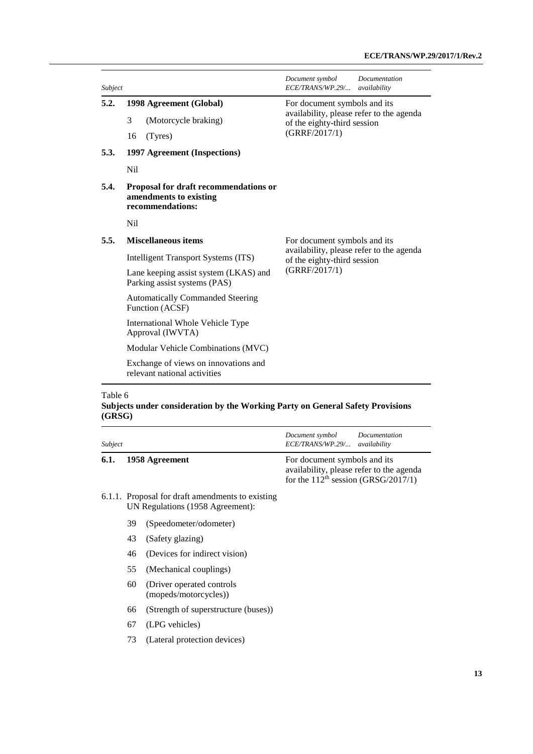| Subject |                                                                                     | Document symbol<br>Documentation<br>ECE/TRANS/WP.29/<br>availability    |  |
|---------|-------------------------------------------------------------------------------------|-------------------------------------------------------------------------|--|
| 5.2.    | 1998 Agreement (Global)                                                             | For document symbols and its                                            |  |
|         | 3<br>(Motorcycle braking)                                                           | availability, please refer to the agenda<br>of the eighty-third session |  |
|         | 16<br>(Tyres)                                                                       | (GRRF/2017/1)                                                           |  |
| 5.3.    | 1997 Agreement (Inspections)                                                        |                                                                         |  |
|         | Nil                                                                                 |                                                                         |  |
| 5.4.    | Proposal for draft recommendations or<br>amendments to existing<br>recommendations: |                                                                         |  |
|         | Nil                                                                                 |                                                                         |  |
| 5.5.    | <b>Miscellaneous items</b>                                                          | For document symbols and its                                            |  |
|         | Intelligent Transport Systems (ITS)                                                 | availability, please refer to the agenda<br>of the eighty-third session |  |
|         | Lane keeping assist system (LKAS) and<br>Parking assist systems (PAS)               | (GRRF/2017/1)                                                           |  |
|         | <b>Automatically Commanded Steering</b><br>Function (ACSF)                          |                                                                         |  |
|         | International Whole Vehicle Type<br>Approval (IWVTA)                                |                                                                         |  |
|         | Modular Vehicle Combinations (MVC)                                                  |                                                                         |  |
|         | Exchange of views on innovations and<br>relevant national activities                |                                                                         |  |

#### Table 6

#### **Subjects under consideration by the Working Party on General Safety Provisions (GRSG)**

| Subject |                                                                                      |                                                     | Document symbol<br><i>ECE/TRANS/WP.29/</i>                                                                        | Documentation<br>availability |
|---------|--------------------------------------------------------------------------------------|-----------------------------------------------------|-------------------------------------------------------------------------------------------------------------------|-------------------------------|
| 6.1.    | 1958 Agreement                                                                       |                                                     | For document symbols and its<br>availability, please refer to the agenda<br>for the $112th$ session (GRSG/2017/1) |                               |
|         | 6.1.1. Proposal for draft amendments to existing<br>UN Regulations (1958 Agreement): |                                                     |                                                                                                                   |                               |
|         | 39                                                                                   | (Speedometer/odometer)                              |                                                                                                                   |                               |
|         | 43                                                                                   | (Safety glazing)                                    |                                                                                                                   |                               |
|         | 46                                                                                   | (Devices for indirect vision)                       |                                                                                                                   |                               |
|         | 55                                                                                   | (Mechanical couplings)                              |                                                                                                                   |                               |
|         | 60                                                                                   | (Driver operated controls)<br>(mopeds/motorcycles)) |                                                                                                                   |                               |
|         | 66                                                                                   | (Strength of superstructure (buses))                |                                                                                                                   |                               |
|         | 67                                                                                   | (LPG vehicles)                                      |                                                                                                                   |                               |

73 (Lateral protection devices)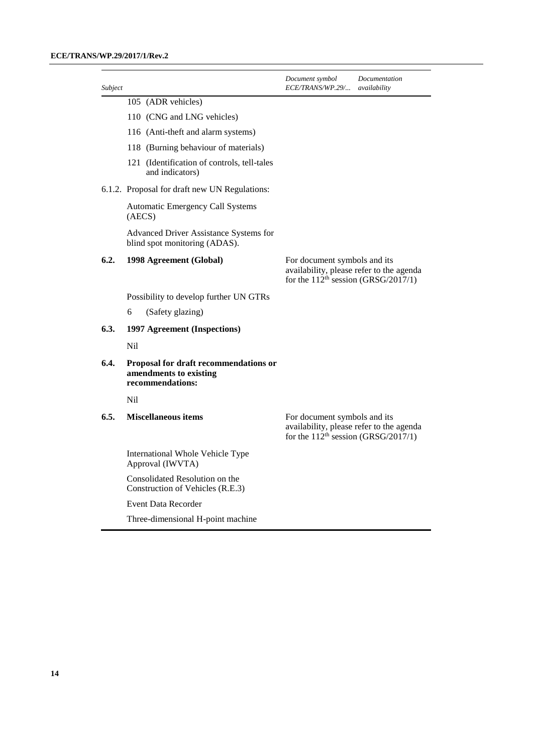| Subject |                                                                                     | Document symbol<br><i>ECE/TRANS/WP.29/</i>                                      | Documentation<br>availability            |
|---------|-------------------------------------------------------------------------------------|---------------------------------------------------------------------------------|------------------------------------------|
|         | 105 (ADR vehicles)                                                                  |                                                                                 |                                          |
|         | 110 (CNG and LNG vehicles)                                                          |                                                                                 |                                          |
|         | 116 (Anti-theft and alarm systems)                                                  |                                                                                 |                                          |
|         | 118 (Burning behaviour of materials)                                                |                                                                                 |                                          |
|         | 121 (Identification of controls, tell-tales<br>and indicators)                      |                                                                                 |                                          |
|         | 6.1.2. Proposal for draft new UN Regulations:                                       |                                                                                 |                                          |
|         | Automatic Emergency Call Systems<br>(AECS)                                          |                                                                                 |                                          |
|         | Advanced Driver Assistance Systems for<br>blind spot monitoring (ADAS).             |                                                                                 |                                          |
| 6.2.    | 1998 Agreement (Global)                                                             | For document symbols and its<br>for the $112^{\text{th}}$ session (GRSG/2017/1) | availability, please refer to the agenda |
|         | Possibility to develop further UN GTRs                                              |                                                                                 |                                          |
|         | 6<br>(Safety glazing)                                                               |                                                                                 |                                          |
| 6.3.    | 1997 Agreement (Inspections)                                                        |                                                                                 |                                          |
|         | Nil                                                                                 |                                                                                 |                                          |
| 6.4.    | Proposal for draft recommendations or<br>amendments to existing<br>recommendations: |                                                                                 |                                          |
|         | N <sub>i</sub>                                                                      |                                                                                 |                                          |
| 6.5.    | <b>Miscellaneous items</b>                                                          | For document symbols and its<br>for the $112^{\text{th}}$ session (GRSG/2017/1) | availability, please refer to the agenda |
|         | International Whole Vehicle Type<br>Approval (IWVTA)                                |                                                                                 |                                          |
|         | Consolidated Resolution on the<br>Construction of Vehicles (R.E.3)                  |                                                                                 |                                          |
|         | <b>Event Data Recorder</b>                                                          |                                                                                 |                                          |
|         | Three-dimensional H-point machine                                                   |                                                                                 |                                          |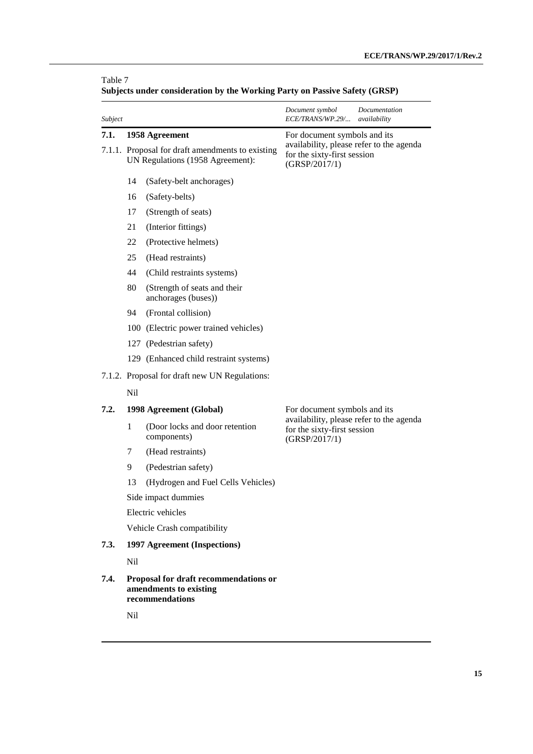| Subject |                                                                                      |                                                     | Document symbol<br>Documentation<br>ECE/TRANS/WP.29/<br>availability                     |  |
|---------|--------------------------------------------------------------------------------------|-----------------------------------------------------|------------------------------------------------------------------------------------------|--|
| 7.1.    |                                                                                      | 1958 Agreement                                      | For document symbols and its                                                             |  |
|         | 7.1.1. Proposal for draft amendments to existing<br>UN Regulations (1958 Agreement): |                                                     | availability, please refer to the agenda<br>for the sixty-first session<br>(GRSP/2017/1) |  |
|         | 14                                                                                   | (Safety-belt anchorages)                            |                                                                                          |  |
|         | 16                                                                                   | (Safety-belts)                                      |                                                                                          |  |
|         | 17                                                                                   | (Strength of seats)                                 |                                                                                          |  |
|         | 21                                                                                   | (Interior fittings)                                 |                                                                                          |  |
|         | 22                                                                                   | (Protective helmets)                                |                                                                                          |  |
|         | 25                                                                                   | (Head restraints)                                   |                                                                                          |  |
|         | 44                                                                                   | (Child restraints systems)                          |                                                                                          |  |
|         | 80                                                                                   | (Strength of seats and their<br>anchorages (buses)) |                                                                                          |  |
|         | 94                                                                                   | (Frontal collision)                                 |                                                                                          |  |
|         |                                                                                      | 100 (Electric power trained vehicles)               |                                                                                          |  |
|         |                                                                                      | 127 (Pedestrian safety)                             |                                                                                          |  |
|         |                                                                                      | 129 (Enhanced child restraint systems)              |                                                                                          |  |
|         |                                                                                      | 7.1.2. Proposal for draft new UN Regulations:       |                                                                                          |  |
|         | Nil                                                                                  |                                                     |                                                                                          |  |
| 7.2.    |                                                                                      | 1998 Agreement (Global)                             | For document symbols and its                                                             |  |
|         | $\mathbf{1}$                                                                         | (Door locks and door retention<br>components)       | availability, please refer to the agenda<br>for the sixty-first session<br>(GRSP/2017/1) |  |
|         | 7                                                                                    | (Head restraints)                                   |                                                                                          |  |
|         | 9                                                                                    | (Pedestrian safety)                                 |                                                                                          |  |
|         | 13                                                                                   | (Hydrogen and Fuel Cells Vehicles)                  |                                                                                          |  |
|         |                                                                                      | Side impact dummies                                 |                                                                                          |  |
|         | Electric vehicles                                                                    |                                                     |                                                                                          |  |
|         | Vehicle Crash compatibility                                                          |                                                     |                                                                                          |  |
| 7.3.    |                                                                                      | 1997 Agreement (Inspections)                        |                                                                                          |  |
|         | Nil                                                                                  |                                                     |                                                                                          |  |
| 7.4.    | Proposal for draft recommendations or<br>amendments to existing<br>recommendations   |                                                     |                                                                                          |  |
|         | Nil                                                                                  |                                                     |                                                                                          |  |

| Subjects under consideration by the Working Party on Passive Safety (GRSP) |  |  |  |
|----------------------------------------------------------------------------|--|--|--|
|                                                                            |  |  |  |

Table 7